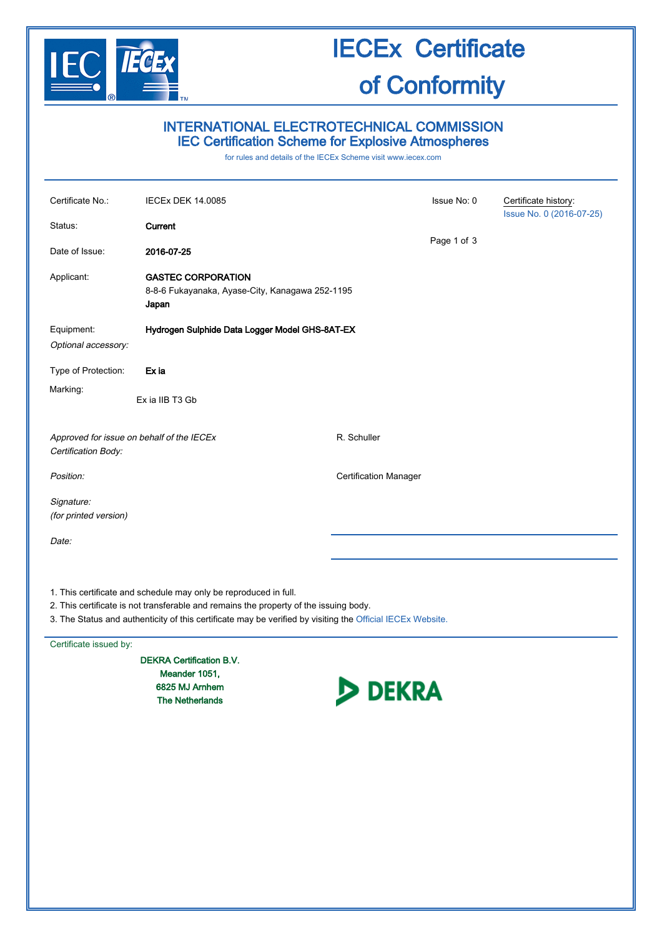

## IECEx Certificate of Conformity

## INTERNATIONAL ELECTROTECHNICAL COMMISSION IEC Certification Scheme for Explosive Atmospheres

for rules and details of the IECEx Scheme visit [www.iecex.com](http://www.iecex.com/)

| Certificate No.:                                                                      | <b>IECEx DEK 14.0085</b>                                                              |                              | Issue No: 0 | Certificate history:<br>Issue No. 0 (2016-07-25) |
|---------------------------------------------------------------------------------------|---------------------------------------------------------------------------------------|------------------------------|-------------|--------------------------------------------------|
| Status:                                                                               | Current                                                                               |                              |             |                                                  |
| Date of Issue:                                                                        | 2016-07-25                                                                            |                              | Page 1 of 3 |                                                  |
| Applicant:                                                                            | <b>GASTEC CORPORATION</b><br>8-8-6 Fukayanaka, Ayase-City, Kanagawa 252-1195<br>Japan |                              |             |                                                  |
| Equipment:<br>Optional accessory:                                                     | Hydrogen Sulphide Data Logger Model GHS-8AT-EX                                        |                              |             |                                                  |
| Type of Protection:                                                                   | Ex ia                                                                                 |                              |             |                                                  |
| Marking:                                                                              | Ex ia IIB T3 Gb                                                                       |                              |             |                                                  |
| Approved for issue on behalf of the IECEx<br>Certification Body:                      |                                                                                       | R. Schuller                  |             |                                                  |
| Position:                                                                             |                                                                                       | <b>Certification Manager</b> |             |                                                  |
| Signature:<br>(for printed version)                                                   |                                                                                       |                              |             |                                                  |
| Date:                                                                                 |                                                                                       |                              |             |                                                  |
|                                                                                       | 1. This certificate and schedule may only be reproduced in full.                      |                              |             |                                                  |
| 2. This certificate is not transferable and remains the property of the issuing body. |                                                                                       |                              |             |                                                  |

3. The Status and authenticity of this certificate may be verified by visiting the [Official IECEx Website.](http://iecex.iec.ch/)

Certificate issued by:

DEKRA Certification B.V. Meander 1051, 6825 MJ Arnhem The Netherlands

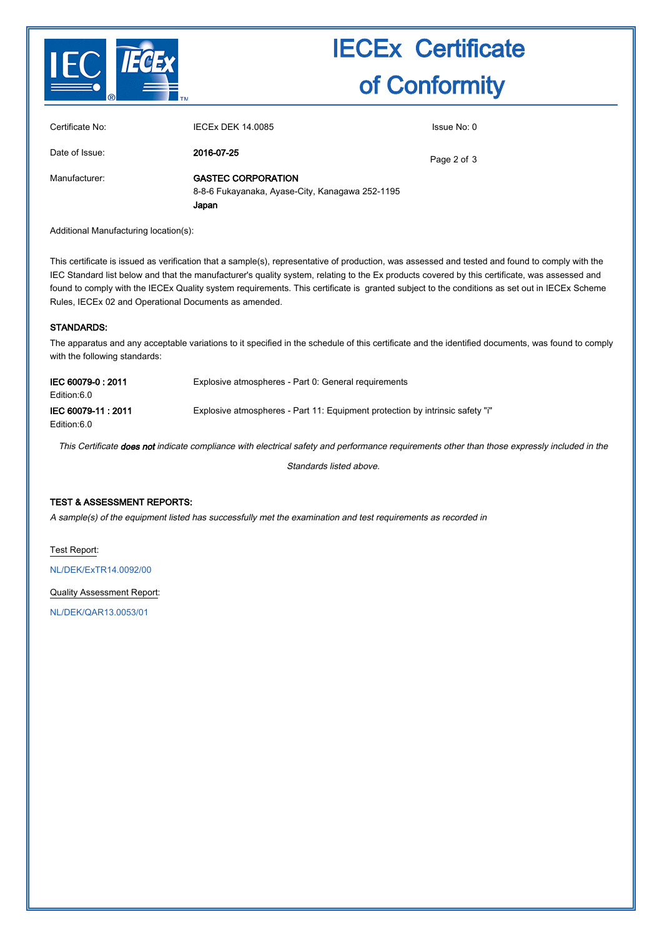

# IECEx Certificate of Conformity

| Certificate No: | IECEx DEK 14,0085                                                                     | Issue No: 0 |
|-----------------|---------------------------------------------------------------------------------------|-------------|
| Date of Issue:  | 2016-07-25                                                                            | Page 2 of 3 |
| Manufacturer:   | <b>GASTEC CORPORATION</b><br>8-8-6 Fukayanaka, Ayase-City, Kanagawa 252-1195<br>Japan |             |

Additional Manufacturing location(s):

This certificate is issued as verification that a sample(s), representative of production, was assessed and tested and found to comply with the IEC Standard list below and that the manufacturer's quality system, relating to the Ex products covered by this certificate, was assessed and found to comply with the IECEx Quality system requirements. This certificate is granted subject to the conditions as set out in IECEx Scheme Rules, IECEx 02 and Operational Documents as amended.

### STANDARDS:

The apparatus and any acceptable variations to it specified in the schedule of this certificate and the identified documents, was found to comply with the following standards:

| IEC 60079-0:2011<br>Edition:6.0   | Explosive atmospheres - Part 0: General requirements                          |
|-----------------------------------|-------------------------------------------------------------------------------|
| IEC 60079-11: 2011<br>Edition:6.0 | Explosive atmospheres - Part 11: Equipment protection by intrinsic safety "i" |

This Certificate does not indicate compliance with electrical safety and performance requirements other than those expressly included in the

Standards listed above.

## TEST & ASSESSMENT REPORTS:

A sample(s) of the equipment listed has successfully met the examination and test requirements as recorded in

Test Report:

[NL/DEK/ExTR14.0092/00](http://iecex.iec.ch/extr/NL.DEK.ExTR14.0092.00)

Quality Assessment Report:

[NL/DEK/QAR13.0053/01](http://iecex.iec.ch/qar/NL.DEK.QAR13.0053.01)